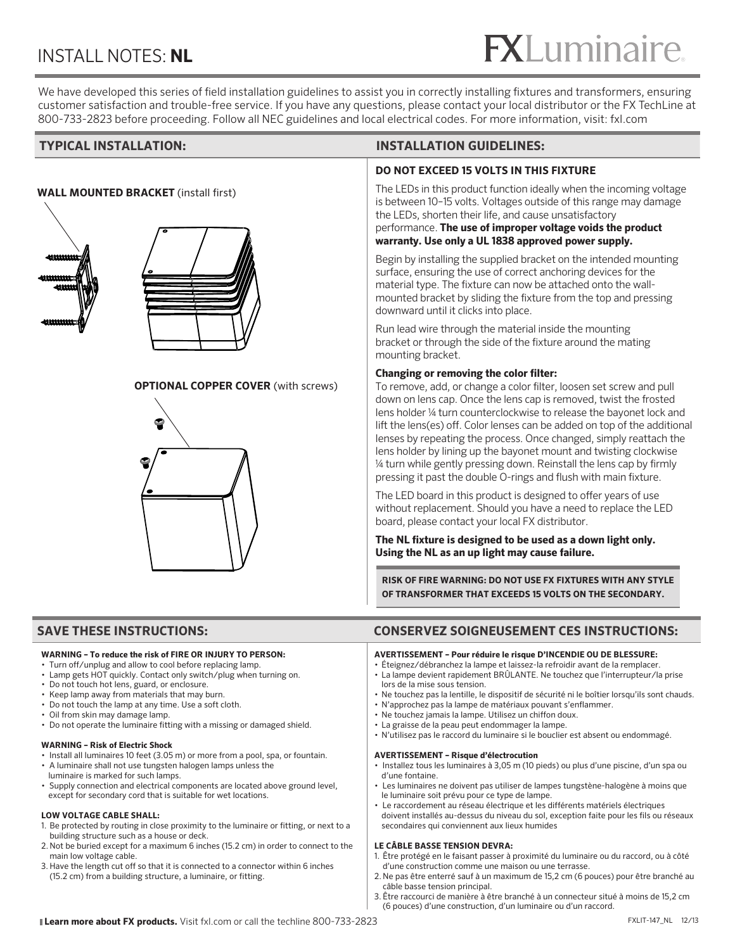### INSTALL NOTES: **NL**

# $<sup>®</sup>$ </sup>

We have developed this series of field installation guidelines to assist you in correctly installing fixtures and transformers, ensuring customer satisfaction and trouble-free service. If you have any questions, please contact your local distributor or the FX TechLine at 800-733-2823 before proceeding. Follow all NEC guidelines and local electrical codes. For more information, visit: fxl.com

#### **WALL MOUNTED BRACKET** (install first)







#### **OPTIONAL COPPER COVER** (with screws)

#### **TYPICAL INSTALLATION: INSTALLATION GUIDELINES:**

#### **DO NOT EXCEED 15 VOLTS IN THIS FIXTURE**

The LEDs in this product function ideally when the incoming voltage is between 10–15 volts. Voltages outside of this range may damage the LEDs, shorten their life, and cause unsatisfactory performance. **The use of improper voltage voids the product warranty. Use only a UL 1838 approved power supply.**

Begin by installing the supplied bracket on the intended mounting surface, ensuring the use of correct anchoring devices for the material type. The fixture can now be attached onto the wallmounted bracket by sliding the fixture from the top and pressing downward until it clicks into place.

Run lead wire through the material inside the mounting bracket or through the side of the fixture around the mating mounting bracket.

#### **Changing or removing the color filter:**

To remove, add, or change a color filter, loosen set screw and pull down on lens cap. Once the lens cap is removed, twist the frosted lens holder ¼ turn counterclockwise to release the bayonet lock and lift the lens(es) off. Color lenses can be added on top of the additional lenses by repeating the process. Once changed, simply reattach the lens holder by lining up the bayonet mount and twisting clockwise ¼ turn while gently pressing down. Reinstall the lens cap by firmly pressing it past the double O-rings and flush with main fixture.

The LED board in this product is designed to offer years of use without replacement. Should you have a need to replace the LED board, please contact your local FX distributor.

**The NL fixture is designed to be used as a down light only. Using the NL as an up light may cause failure.**

**RISK OF FIRE WARNING: DO NOT USE FX FIXTURES WITH ANY STYLE OF TRANSFORMER THAT EXCEEDS 15 VOLTS ON THE SECONDARY.** 

### **SAVE THESE INSTRUCTIONS: CONSERVEZ SOIGNEUSEMENT CES INSTRUCTIONS:**

#### **WARNING – To reduce the risk of FIRE OR INJURY TO PERSON:**

- Turn off/unplug and allow to cool before replacing lamp.
- Lamp gets HOT quickly. Contact only switch/plug when turning on.
- Do not touch hot lens, guard, or enclosure.
- Keep lamp away from materials that may burn.
- Do not touch the lamp at any time. Use a soft cloth.
- Oil from skin may damage lamp.
- Do not operate the luminaire fitting with a missing or damaged shield.

#### **WARNING – Risk of Electric Shock**

- Install all luminaires 10 feet (3.05 m) or more from a pool, spa, or fountain.
- A luminaire shall not use tungsten halogen lamps unless the luminaire is marked for such lamps.
- Supply connection and electrical components are located above ground level, except for secondary cord that is suitable for wet locations.

#### **LOW VOLTAGE CABLE SHALL:**

- 1. Be protected by routing in close proximity to the luminaire or fitting, or next to a building structure such as a house or deck.
- 2. Not be buried except for a maximum 6 inches (15.2 cm) in order to connect to the main low voltage cable.
- 3. Have the length cut off so that it is connected to a connector within 6 inches (15.2 cm) from a building structure, a luminaire, or fitting.

#### **AVERTISSEMENT – Pour réduire le risque D'INCENDIE OU DE BLESSURE:**

- Éteignez/débranchez la lampe et laissez-la refroidir avant de la remplacer.
- La lampe devient rapidement BRÛLANTE. Ne touchez que l'interrupteur/la prise lors de la mise sous tension.
- Ne touchez pas la lentille, le dispositif de sécurité ni le boîtier lorsqu'ils sont chauds.
- N'approchez pas la lampe de matériaux pouvant s'enflammer.
- Ne touchez jamais la lampe. Utilisez un chiffon doux.
- La graisse de la peau peut endommager la lampe.
- N'utilisez pas le raccord du luminaire si le bouclier est absent ou endommagé.

#### **AVERTISSEMENT – Risque d'électrocution**

- Installez tous les luminaires à 3,05 m (10 pieds) ou plus d'une piscine, d'un spa ou d'une fontaine.
- Les luminaires ne doivent pas utiliser de lampes tungstène-halogène à moins que le luminaire soit prévu pour ce type de lampe.
- Le raccordement au réseau électrique et les différents matériels électriques doivent installés au-dessus du niveau du sol, exception faite pour les fils ou réseaux secondaires qui conviennent aux lieux humides

#### **LE CÂBLE BASSE TENSION DEVRA:**

- 1. Être protégé en le faisant passer à proximité du luminaire ou du raccord, ou à côté d'une construction comme une maison ou une terrasse.
- 2. Ne pas être enterré sauf à un maximum de 15,2 cm (6 pouces) pour être branché au câble basse tension principal.
- 3. Être raccourci de manière à être branché à un connecteur situé à moins de 15,2 cm (6 pouces) d'une construction, d'un luminaire ou d'un raccord.